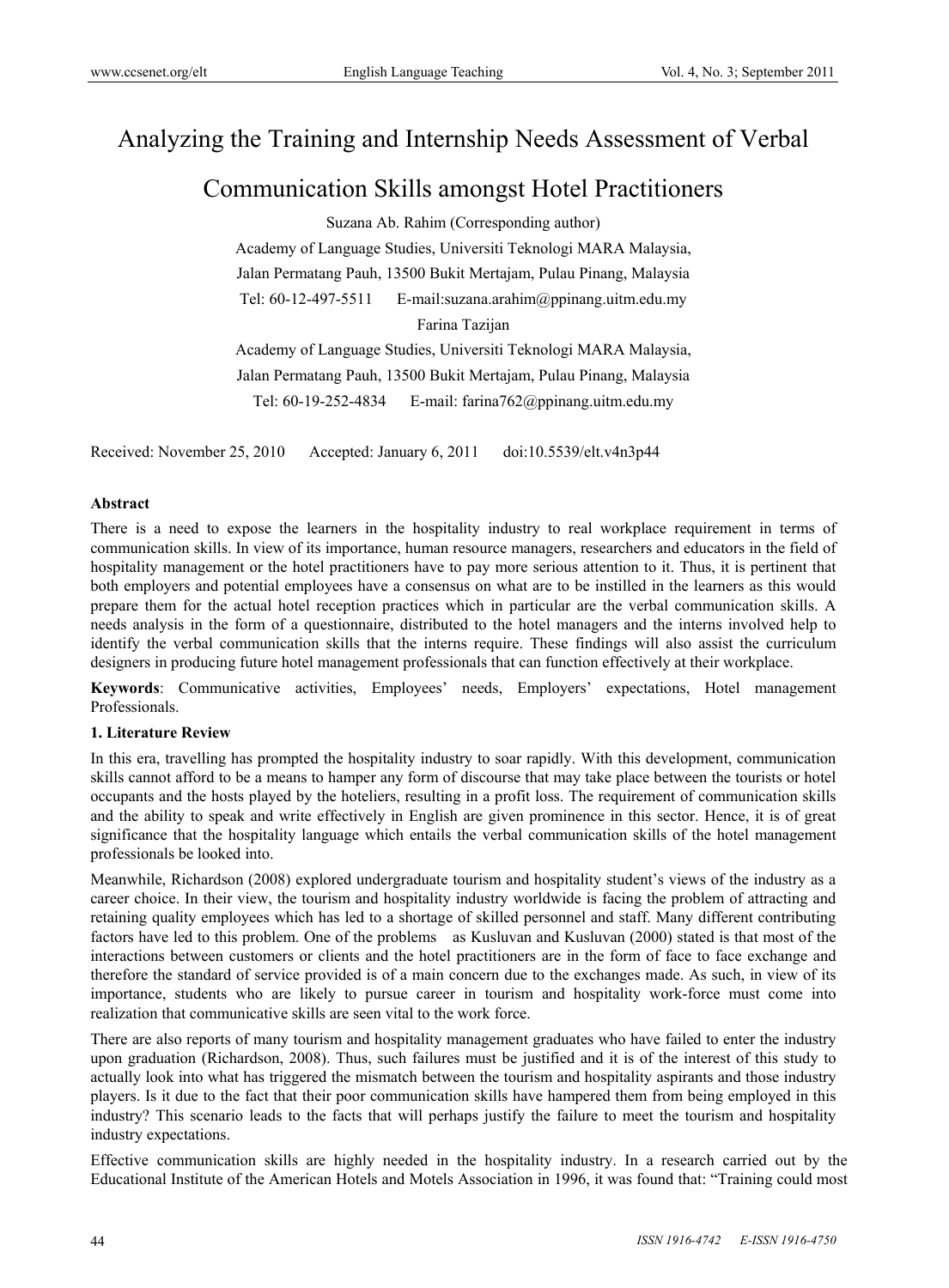# Analyzing the Training and Internship Needs Assessment of Verbal

# Communication Skills amongst Hotel Practitioners

Suzana Ab. Rahim (Corresponding author)

Academy of Language Studies, Universiti Teknologi MARA Malaysia, Jalan Permatang Pauh, 13500 Bukit Mertajam, Pulau Pinang, Malaysia Tel: 60-12-497-5511 E-mail:suzana.arahim@ppinang.uitm.edu.my

Farina Tazijan

Academy of Language Studies, Universiti Teknologi MARA Malaysia, Jalan Permatang Pauh, 13500 Bukit Mertajam, Pulau Pinang, Malaysia Tel: 60-19-252-4834 E-mail: farina762@ppinang.uitm.edu.my

Received: November 25, 2010 Accepted: January 6, 2011 doi:10.5539/elt.v4n3p44

# **Abstract**

There is a need to expose the learners in the hospitality industry to real workplace requirement in terms of communication skills. In view of its importance, human resource managers, researchers and educators in the field of hospitality management or the hotel practitioners have to pay more serious attention to it. Thus, it is pertinent that both employers and potential employees have a consensus on what are to be instilled in the learners as this would prepare them for the actual hotel reception practices which in particular are the verbal communication skills. A needs analysis in the form of a questionnaire, distributed to the hotel managers and the interns involved help to identify the verbal communication skills that the interns require. These findings will also assist the curriculum designers in producing future hotel management professionals that can function effectively at their workplace.

**Keywords**: Communicative activities, Employees' needs, Employers' expectations, Hotel management Professionals.

# **1. Literature Review**

In this era, travelling has prompted the hospitality industry to soar rapidly. With this development, communication skills cannot afford to be a means to hamper any form of discourse that may take place between the tourists or hotel occupants and the hosts played by the hoteliers, resulting in a profit loss. The requirement of communication skills and the ability to speak and write effectively in English are given prominence in this sector. Hence, it is of great significance that the hospitality language which entails the verbal communication skills of the hotel management professionals be looked into.

Meanwhile, Richardson (2008) explored undergraduate tourism and hospitality student's views of the industry as a career choice. In their view, the tourism and hospitality industry worldwide is facing the problem of attracting and retaining quality employees which has led to a shortage of skilled personnel and staff. Many different contributing factors have led to this problem. One of the problems as Kusluvan and Kusluvan (2000) stated is that most of the interactions between customers or clients and the hotel practitioners are in the form of face to face exchange and therefore the standard of service provided is of a main concern due to the exchanges made. As such, in view of its importance, students who are likely to pursue career in tourism and hospitality work-force must come into realization that communicative skills are seen vital to the work force.

There are also reports of many tourism and hospitality management graduates who have failed to enter the industry upon graduation (Richardson, 2008). Thus, such failures must be justified and it is of the interest of this study to actually look into what has triggered the mismatch between the tourism and hospitality aspirants and those industry players. Is it due to the fact that their poor communication skills have hampered them from being employed in this industry? This scenario leads to the facts that will perhaps justify the failure to meet the tourism and hospitality industry expectations.

Effective communication skills are highly needed in the hospitality industry. In a research carried out by the Educational Institute of the American Hotels and Motels Association in 1996, it was found that: "Training could most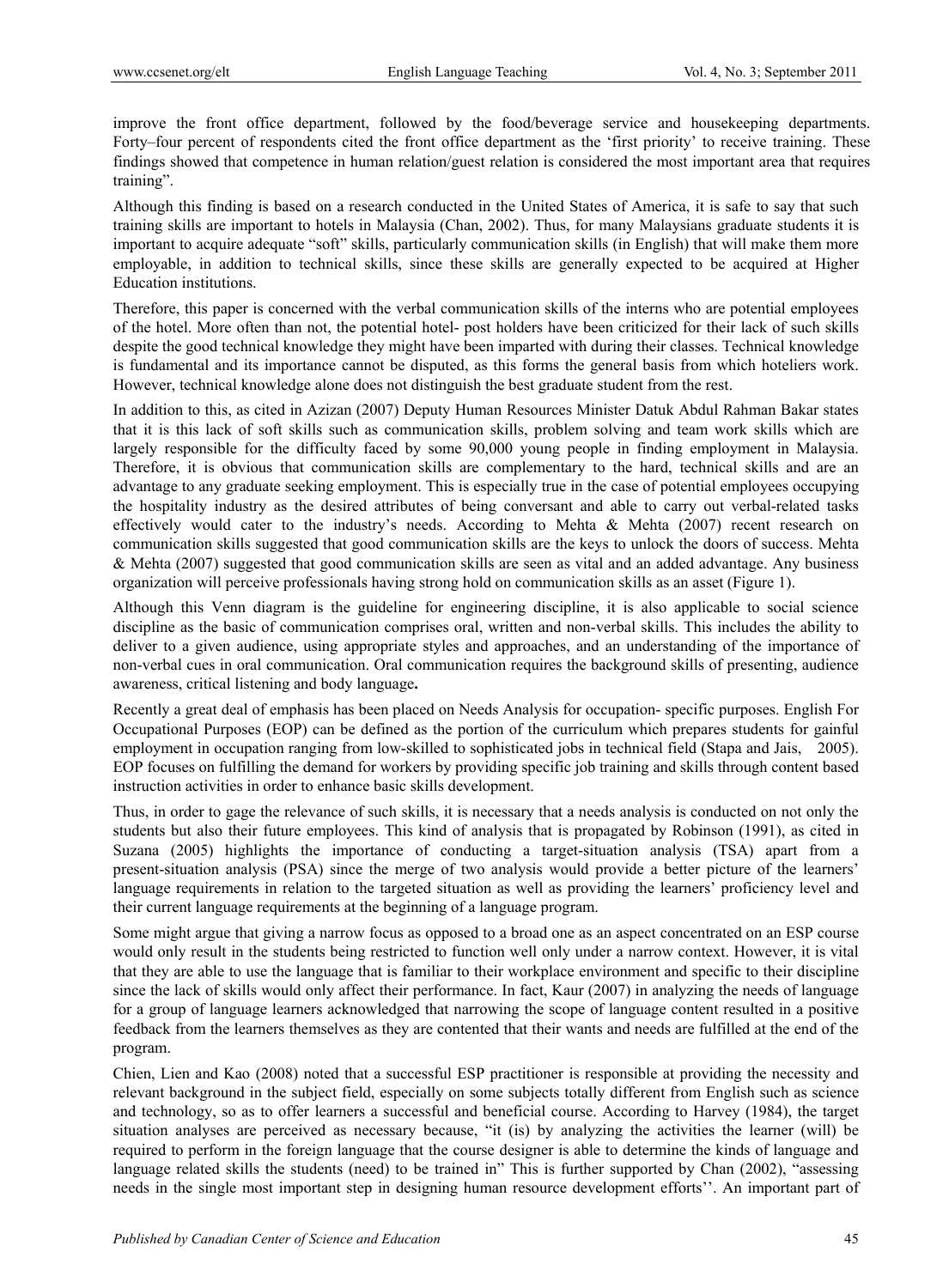improve the front office department, followed by the food/beverage service and housekeeping departments. Forty–four percent of respondents cited the front office department as the 'first priority' to receive training. These findings showed that competence in human relation/guest relation is considered the most important area that requires training".

Although this finding is based on a research conducted in the United States of America, it is safe to say that such training skills are important to hotels in Malaysia (Chan, 2002). Thus, for many Malaysians graduate students it is important to acquire adequate "soft" skills, particularly communication skills (in English) that will make them more employable, in addition to technical skills, since these skills are generally expected to be acquired at Higher Education institutions.

Therefore, this paper is concerned with the verbal communication skills of the interns who are potential employees of the hotel. More often than not, the potential hotel- post holders have been criticized for their lack of such skills despite the good technical knowledge they might have been imparted with during their classes. Technical knowledge is fundamental and its importance cannot be disputed, as this forms the general basis from which hoteliers work. However, technical knowledge alone does not distinguish the best graduate student from the rest.

In addition to this, as cited in Azizan (2007) Deputy Human Resources Minister Datuk Abdul Rahman Bakar states that it is this lack of soft skills such as communication skills, problem solving and team work skills which are largely responsible for the difficulty faced by some 90,000 young people in finding employment in Malaysia. Therefore, it is obvious that communication skills are complementary to the hard, technical skills and are an advantage to any graduate seeking employment. This is especially true in the case of potential employees occupying the hospitality industry as the desired attributes of being conversant and able to carry out verbal-related tasks effectively would cater to the industry's needs. According to Mehta & Mehta (2007) recent research on communication skills suggested that good communication skills are the keys to unlock the doors of success. Mehta & Mehta (2007) suggested that good communication skills are seen as vital and an added advantage. Any business organization will perceive professionals having strong hold on communication skills as an asset (Figure 1).

Although this Venn diagram is the guideline for engineering discipline, it is also applicable to social science discipline as the basic of communication comprises oral, written and non-verbal skills. This includes the ability to deliver to a given audience, using appropriate styles and approaches, and an understanding of the importance of non-verbal cues in oral communication. Oral communication requires the background skills of presenting, audience awareness, critical listening and body language**.** 

Recently a great deal of emphasis has been placed on Needs Analysis for occupation- specific purposes. English For Occupational Purposes (EOP) can be defined as the portion of the curriculum which prepares students for gainful employment in occupation ranging from low-skilled to sophisticated jobs in technical field (Stapa and Jais, 2005). EOP focuses on fulfilling the demand for workers by providing specific job training and skills through content based instruction activities in order to enhance basic skills development.

Thus, in order to gage the relevance of such skills, it is necessary that a needs analysis is conducted on not only the students but also their future employees. This kind of analysis that is propagated by Robinson (1991), as cited in Suzana (2005) highlights the importance of conducting a target-situation analysis (TSA) apart from a present-situation analysis (PSA) since the merge of two analysis would provide a better picture of the learners' language requirements in relation to the targeted situation as well as providing the learners' proficiency level and their current language requirements at the beginning of a language program.

Some might argue that giving a narrow focus as opposed to a broad one as an aspect concentrated on an ESP course would only result in the students being restricted to function well only under a narrow context. However, it is vital that they are able to use the language that is familiar to their workplace environment and specific to their discipline since the lack of skills would only affect their performance. In fact, Kaur (2007) in analyzing the needs of language for a group of language learners acknowledged that narrowing the scope of language content resulted in a positive feedback from the learners themselves as they are contented that their wants and needs are fulfilled at the end of the program.

Chien, Lien and Kao (2008) noted that a successful ESP practitioner is responsible at providing the necessity and relevant background in the subject field, especially on some subjects totally different from English such as science and technology, so as to offer learners a successful and beneficial course. According to Harvey (1984), the target situation analyses are perceived as necessary because, "it (is) by analyzing the activities the learner (will) be required to perform in the foreign language that the course designer is able to determine the kinds of language and language related skills the students (need) to be trained in" This is further supported by Chan (2002), "assessing needs in the single most important step in designing human resource development efforts''. An important part of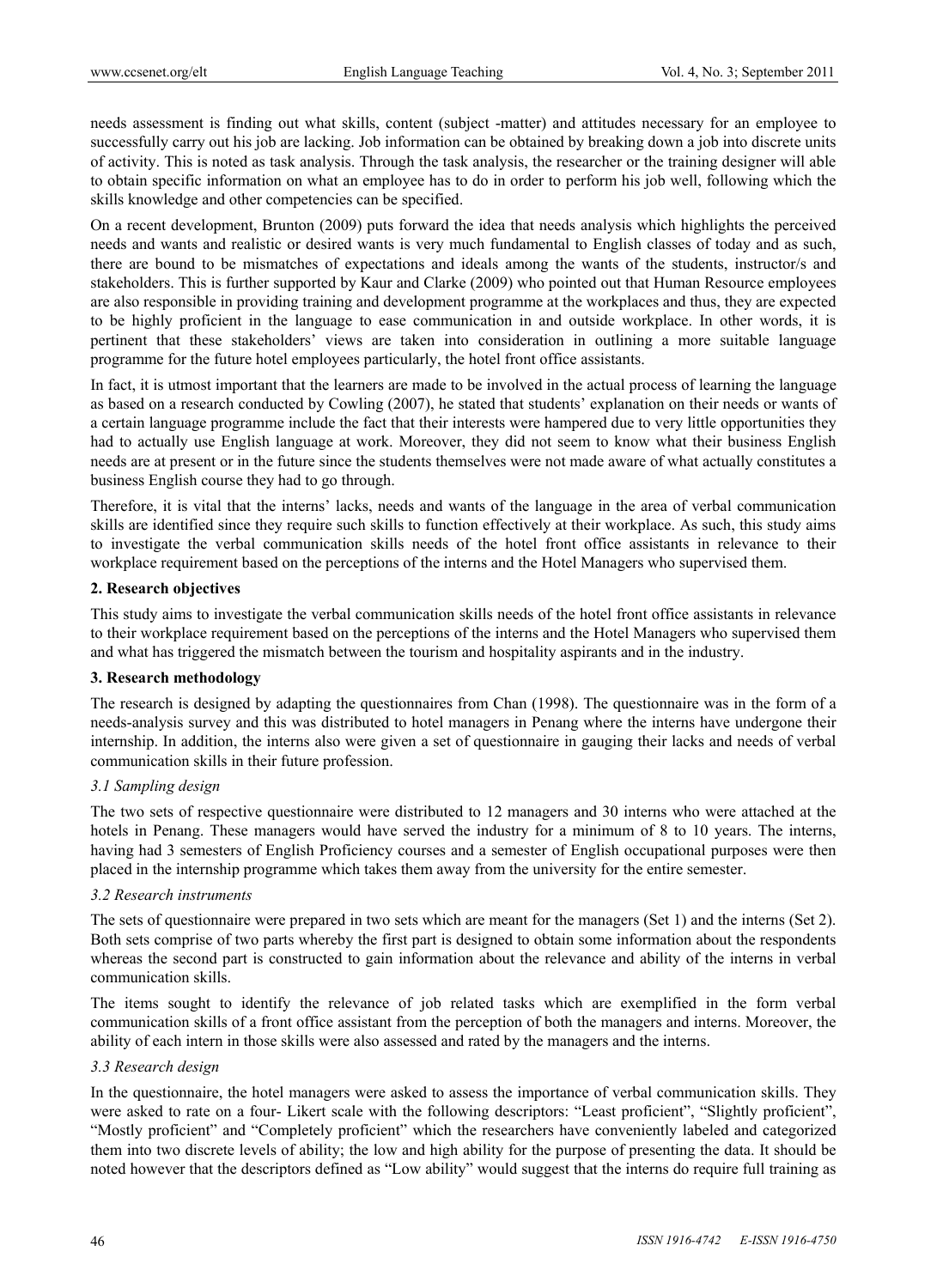needs assessment is finding out what skills, content (subject -matter) and attitudes necessary for an employee to successfully carry out his job are lacking. Job information can be obtained by breaking down a job into discrete units of activity. This is noted as task analysis. Through the task analysis, the researcher or the training designer will able to obtain specific information on what an employee has to do in order to perform his job well, following which the skills knowledge and other competencies can be specified.

On a recent development, Brunton (2009) puts forward the idea that needs analysis which highlights the perceived needs and wants and realistic or desired wants is very much fundamental to English classes of today and as such, there are bound to be mismatches of expectations and ideals among the wants of the students, instructor/s and stakeholders. This is further supported by Kaur and Clarke (2009) who pointed out that Human Resource employees are also responsible in providing training and development programme at the workplaces and thus, they are expected to be highly proficient in the language to ease communication in and outside workplace. In other words, it is pertinent that these stakeholders' views are taken into consideration in outlining a more suitable language programme for the future hotel employees particularly, the hotel front office assistants.

In fact, it is utmost important that the learners are made to be involved in the actual process of learning the language as based on a research conducted by Cowling (2007), he stated that students' explanation on their needs or wants of a certain language programme include the fact that their interests were hampered due to very little opportunities they had to actually use English language at work. Moreover, they did not seem to know what their business English needs are at present or in the future since the students themselves were not made aware of what actually constitutes a business English course they had to go through.

Therefore, it is vital that the interns' lacks, needs and wants of the language in the area of verbal communication skills are identified since they require such skills to function effectively at their workplace. As such, this study aims to investigate the verbal communication skills needs of the hotel front office assistants in relevance to their workplace requirement based on the perceptions of the interns and the Hotel Managers who supervised them.

# **2. Research objectives**

This study aims to investigate the verbal communication skills needs of the hotel front office assistants in relevance to their workplace requirement based on the perceptions of the interns and the Hotel Managers who supervised them and what has triggered the mismatch between the tourism and hospitality aspirants and in the industry.

# **3. Research methodology**

The research is designed by adapting the questionnaires from Chan (1998). The questionnaire was in the form of a needs-analysis survey and this was distributed to hotel managers in Penang where the interns have undergone their internship. In addition, the interns also were given a set of questionnaire in gauging their lacks and needs of verbal communication skills in their future profession.

# *3.1 Sampling design*

The two sets of respective questionnaire were distributed to 12 managers and 30 interns who were attached at the hotels in Penang. These managers would have served the industry for a minimum of 8 to 10 years. The interns, having had 3 semesters of English Proficiency courses and a semester of English occupational purposes were then placed in the internship programme which takes them away from the university for the entire semester.

#### *3.2 Research instruments*

The sets of questionnaire were prepared in two sets which are meant for the managers (Set 1) and the interns (Set 2). Both sets comprise of two parts whereby the first part is designed to obtain some information about the respondents whereas the second part is constructed to gain information about the relevance and ability of the interns in verbal communication skills.

The items sought to identify the relevance of job related tasks which are exemplified in the form verbal communication skills of a front office assistant from the perception of both the managers and interns. Moreover, the ability of each intern in those skills were also assessed and rated by the managers and the interns.

#### *3.3 Research design*

In the questionnaire, the hotel managers were asked to assess the importance of verbal communication skills. They were asked to rate on a four- Likert scale with the following descriptors: "Least proficient", "Slightly proficient", "Mostly proficient" and "Completely proficient" which the researchers have conveniently labeled and categorized them into two discrete levels of ability; the low and high ability for the purpose of presenting the data. It should be noted however that the descriptors defined as "Low ability" would suggest that the interns do require full training as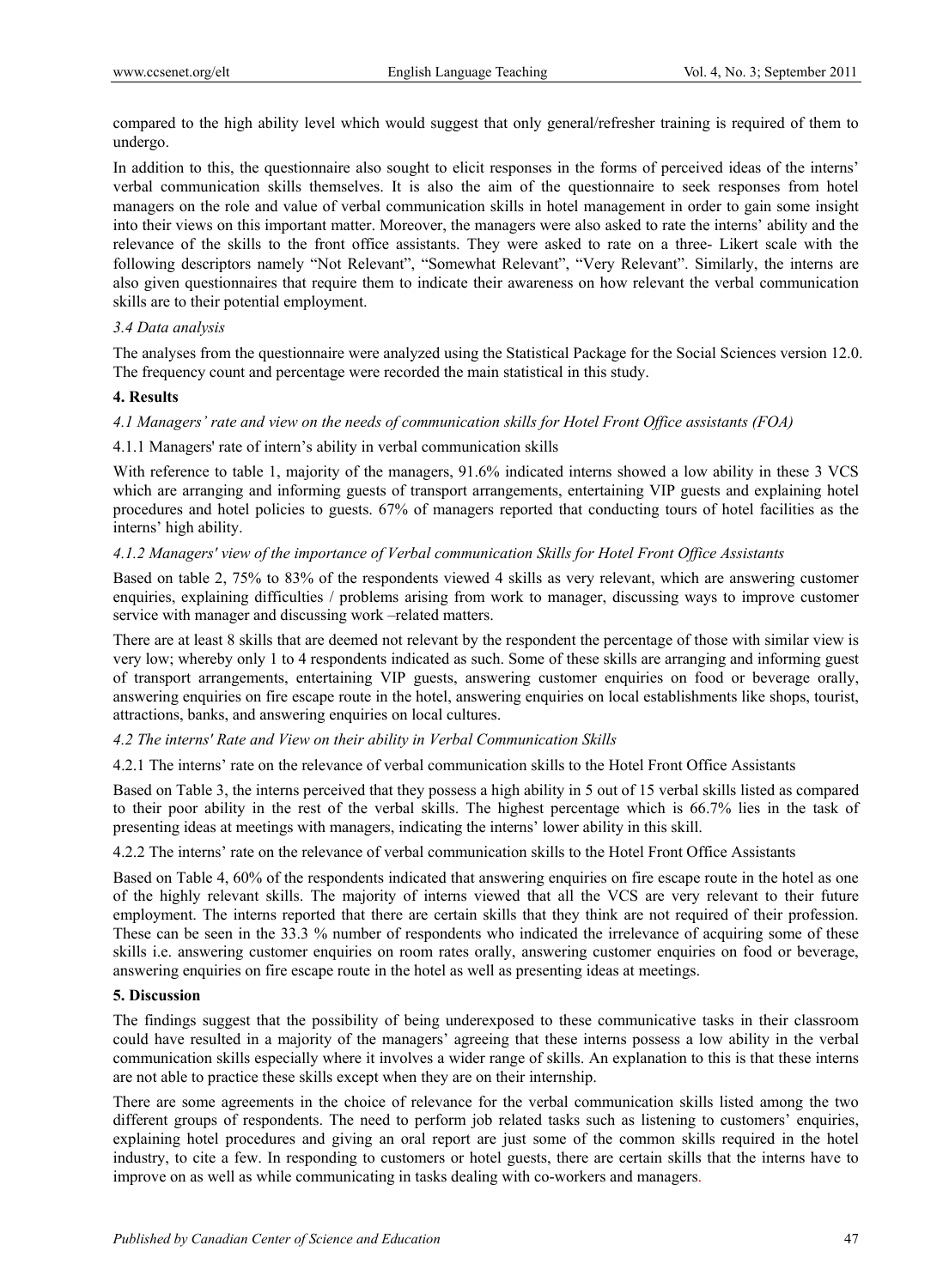compared to the high ability level which would suggest that only general/refresher training is required of them to undergo.

In addition to this, the questionnaire also sought to elicit responses in the forms of perceived ideas of the interns' verbal communication skills themselves. It is also the aim of the questionnaire to seek responses from hotel managers on the role and value of verbal communication skills in hotel management in order to gain some insight into their views on this important matter. Moreover, the managers were also asked to rate the interns' ability and the relevance of the skills to the front office assistants. They were asked to rate on a three- Likert scale with the following descriptors namely "Not Relevant", "Somewhat Relevant", "Very Relevant". Similarly, the interns are also given questionnaires that require them to indicate their awareness on how relevant the verbal communication skills are to their potential employment.

# *3.4 Data analysis*

The analyses from the questionnaire were analyzed using the Statistical Package for the Social Sciences version 12.0. The frequency count and percentage were recorded the main statistical in this study.

#### **4. Results**

# *4.1 Managers' rate and view on the needs of communication skills for Hotel Front Office assistants (FOA)*

#### 4.1.1 Managers' rate of intern's ability in verbal communication skills

With reference to table 1, majority of the managers, 91.6% indicated interns showed a low ability in these 3 VCS which are arranging and informing guests of transport arrangements, entertaining VIP guests and explaining hotel procedures and hotel policies to guests. 67% of managers reported that conducting tours of hotel facilities as the interns' high ability.

# *4.1.2 Managers' view of the importance of Verbal communication Skills for Hotel Front Office Assistants*

Based on table 2, 75% to 83% of the respondents viewed 4 skills as very relevant, which are answering customer enquiries, explaining difficulties / problems arising from work to manager, discussing ways to improve customer service with manager and discussing work –related matters.

There are at least 8 skills that are deemed not relevant by the respondent the percentage of those with similar view is very low; whereby only 1 to 4 respondents indicated as such. Some of these skills are arranging and informing guest of transport arrangements, entertaining VIP guests, answering customer enquiries on food or beverage orally, answering enquiries on fire escape route in the hotel, answering enquiries on local establishments like shops, tourist, attractions, banks, and answering enquiries on local cultures.

#### *4.2 The interns' Rate and View on their ability in Verbal Communication Skills*

4.2.1 The interns' rate on the relevance of verbal communication skills to the Hotel Front Office Assistants

Based on Table 3, the interns perceived that they possess a high ability in 5 out of 15 verbal skills listed as compared to their poor ability in the rest of the verbal skills. The highest percentage which is 66.7% lies in the task of presenting ideas at meetings with managers, indicating the interns' lower ability in this skill.

4.2.2 The interns' rate on the relevance of verbal communication skills to the Hotel Front Office Assistants

Based on Table 4, 60% of the respondents indicated that answering enquiries on fire escape route in the hotel as one of the highly relevant skills. The majority of interns viewed that all the VCS are very relevant to their future employment. The interns reported that there are certain skills that they think are not required of their profession. These can be seen in the 33.3 % number of respondents who indicated the irrelevance of acquiring some of these skills i.e. answering customer enquiries on room rates orally, answering customer enquiries on food or beverage, answering enquiries on fire escape route in the hotel as well as presenting ideas at meetings.

# **5. Discussion**

The findings suggest that the possibility of being underexposed to these communicative tasks in their classroom could have resulted in a majority of the managers' agreeing that these interns possess a low ability in the verbal communication skills especially where it involves a wider range of skills. An explanation to this is that these interns are not able to practice these skills except when they are on their internship.

There are some agreements in the choice of relevance for the verbal communication skills listed among the two different groups of respondents. The need to perform job related tasks such as listening to customers' enquiries, explaining hotel procedures and giving an oral report are just some of the common skills required in the hotel industry, to cite a few. In responding to customers or hotel guests, there are certain skills that the interns have to improve on as well as while communicating in tasks dealing with co-workers and managers.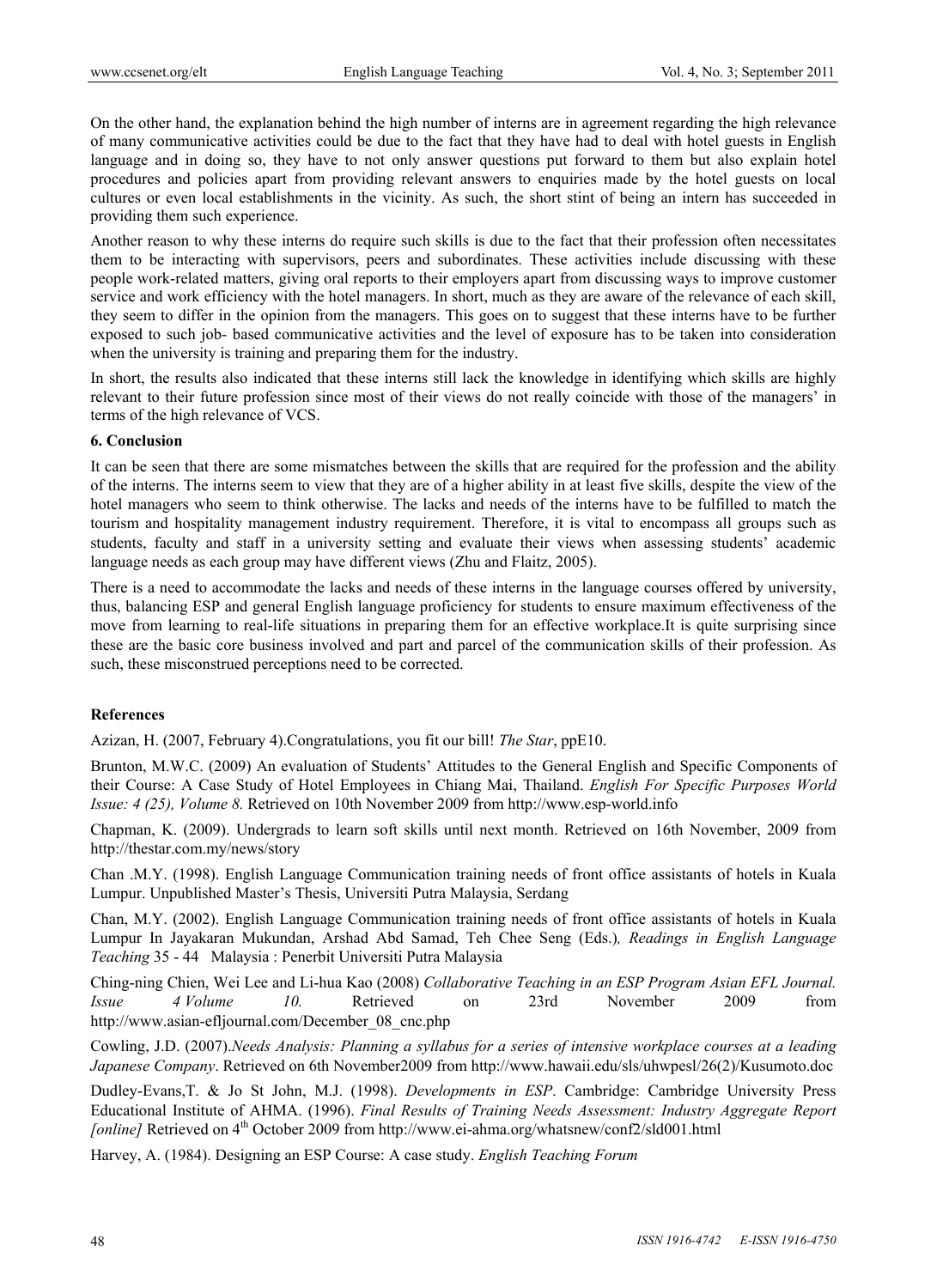On the other hand, the explanation behind the high number of interns are in agreement regarding the high relevance of many communicative activities could be due to the fact that they have had to deal with hotel guests in English language and in doing so, they have to not only answer questions put forward to them but also explain hotel procedures and policies apart from providing relevant answers to enquiries made by the hotel guests on local cultures or even local establishments in the vicinity. As such, the short stint of being an intern has succeeded in providing them such experience.

Another reason to why these interns do require such skills is due to the fact that their profession often necessitates them to be interacting with supervisors, peers and subordinates. These activities include discussing with these people work-related matters, giving oral reports to their employers apart from discussing ways to improve customer service and work efficiency with the hotel managers. In short, much as they are aware of the relevance of each skill, they seem to differ in the opinion from the managers. This goes on to suggest that these interns have to be further exposed to such job- based communicative activities and the level of exposure has to be taken into consideration when the university is training and preparing them for the industry.

In short, the results also indicated that these interns still lack the knowledge in identifying which skills are highly relevant to their future profession since most of their views do not really coincide with those of the managers' in terms of the high relevance of VCS.

# **6. Conclusion**

It can be seen that there are some mismatches between the skills that are required for the profession and the ability of the interns. The interns seem to view that they are of a higher ability in at least five skills, despite the view of the hotel managers who seem to think otherwise. The lacks and needs of the interns have to be fulfilled to match the tourism and hospitality management industry requirement. Therefore, it is vital to encompass all groups such as students, faculty and staff in a university setting and evaluate their views when assessing students' academic language needs as each group may have different views (Zhu and Flaitz, 2005).

There is a need to accommodate the lacks and needs of these interns in the language courses offered by university, thus, balancing ESP and general English language proficiency for students to ensure maximum effectiveness of the move from learning to real-life situations in preparing them for an effective workplace.It is quite surprising since these are the basic core business involved and part and parcel of the communication skills of their profession. As such, these misconstrued perceptions need to be corrected.

# **References**

Azizan, H. (2007, February 4).Congratulations, you fit our bill! *The Star*, ppE10.

Brunton, M.W.C. (2009) An evaluation of Students' Attitudes to the General English and Specific Components of their Course: A Case Study of Hotel Employees in Chiang Mai, Thailand. *English For Specific Purposes World Issue: 4 (25), Volume 8.* Retrieved on 10th November 2009 from http://www.esp-world.info

Chapman, K. (2009). Undergrads to learn soft skills until next month. Retrieved on 16th November, 2009 from http://thestar.com.my/news/story

Chan .M.Y. (1998). English Language Communication training needs of front office assistants of hotels in Kuala Lumpur. Unpublished Master's Thesis, Universiti Putra Malaysia, Serdang

Chan, M.Y. (2002). English Language Communication training needs of front office assistants of hotels in Kuala Lumpur In Jayakaran Mukundan, Arshad Abd Samad, Teh Chee Seng (Eds.)*, Readings in English Language Teaching* 35 - 44 Malaysia : Penerbit Universiti Putra Malaysia

Ching-ning Chien, Wei Lee and Li-hua Kao (2008) *Collaborative Teaching in an ESP Program Asian EFL Journal. Issue 4 Volume 10.* Retrieved on 23rd November 2009 from http://www.asian-efljournal.com/December\_08\_cnc.php

Cowling, J.D. (2007).*Needs Analysis: Planning a syllabus for a series of intensive workplace courses at a leading Japanese Company*. Retrieved on 6th November2009 from http://www.hawaii.edu/sls/uhwpesl/26(2)/Kusumoto.doc

Dudley-Evans,T. & Jo St John, M.J. (1998). *Developments in ESP*. Cambridge: Cambridge University Press Educational Institute of AHMA. (1996). *Final Results of Training Needs Assessment: Industry Aggregate Report [online]* Retrieved on 4<sup>th</sup> October 2009 from http://www.ei-ahma.org/whatsnew/conf2/sld001.html

Harvey, A. (1984). Designing an ESP Course: A case study. *English Teaching Forum*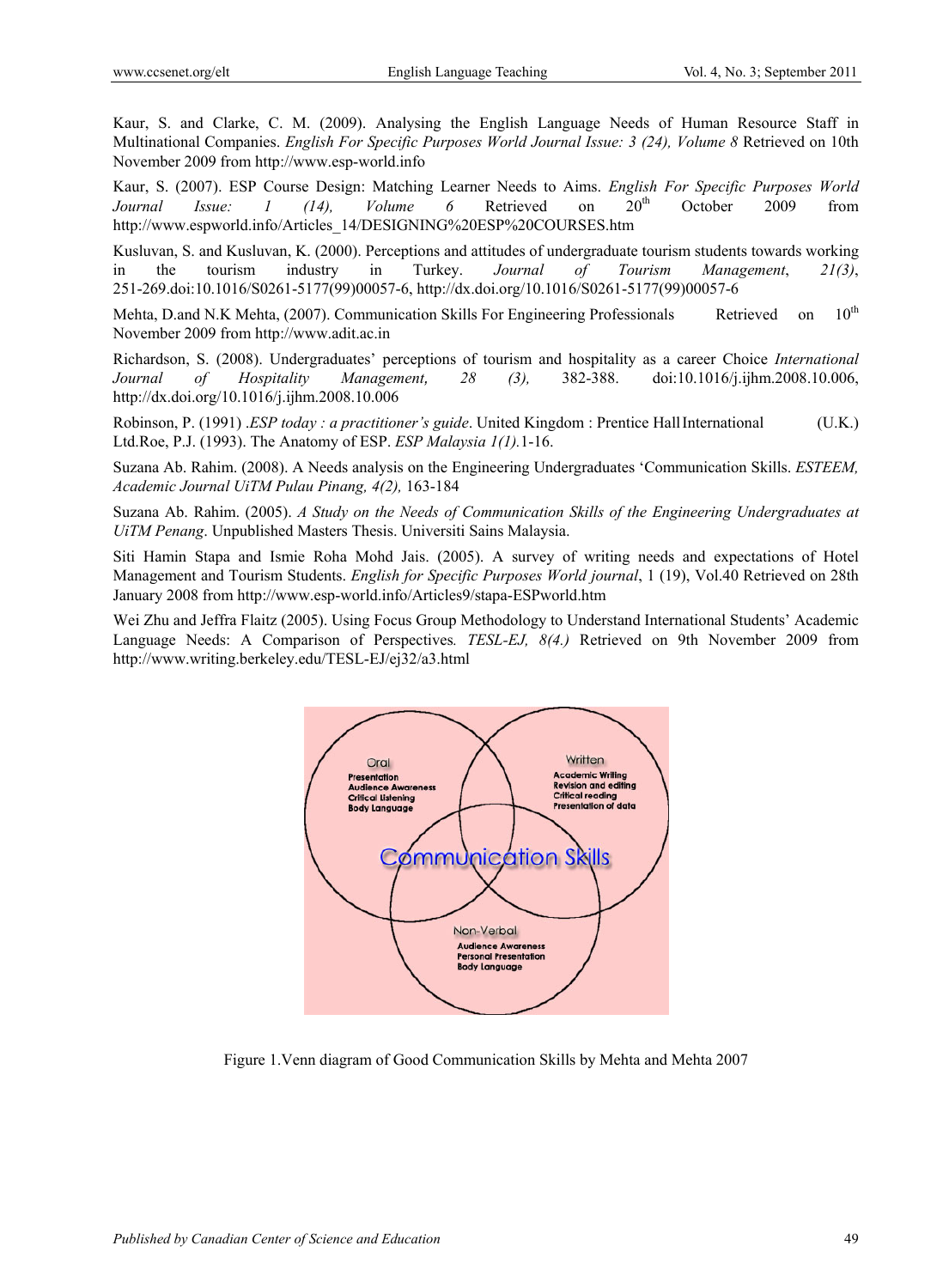Kaur, S. and Clarke, C. M. (2009). Analysing the English Language Needs of Human Resource Staff in Multinational Companies. *English For Specific Purposes World Journal Issue: 3 (24), Volume 8* Retrieved on 10th November 2009 from http://www.esp-world.info

Kaur, S. (2007). ESP Course Design: Matching Learner Needs to Aims. *English For Specific Purposes World Journal Issue: 1 (14), Volume 6* Retrieved on 20<sup>th</sup> October 2009 from http://www.espworld.info/Articles\_14/DESIGNING%20ESP%20COURSES.htm

Kusluvan, S. and Kusluvan, K. (2000). Perceptions and attitudes of undergraduate tourism students towards working in the tourism industry in Turkey. *Journal of Tourism Management*, *21(3)*, 251-269.doi:10.1016/S0261-5177(99)00057-6, http://dx.doi.org/10.1016/S0261-5177(99)00057-6

Mehta, D.and N.K Mehta, (2007). Communication Skills For Engineering Professionals Retrieved on 10<sup>th</sup> November 2009 from http://www.adit.ac.in

Richardson, S. (2008). Undergraduates' perceptions of tourism and hospitality as a career Choice *International Journal of Hospitality Management, 28 (3),* 382-388. doi:10.1016/j.ijhm.2008.10.006, http://dx.doi.org/10.1016/j.ijhm.2008.10.006

Robinson, P. (1991) .*ESP today : a practitioner's guide*. United Kingdom : Prentice Hall International (U.K.) Ltd.Roe, P.J. (1993). The Anatomy of ESP. *ESP Malaysia 1(1).*1-16.

Suzana Ab. Rahim. (2008). A Needs analysis on the Engineering Undergraduates 'Communication Skills. *ESTEEM, Academic Journal UiTM Pulau Pinang, 4(2),* 163-184

Suzana Ab. Rahim. (2005). *A Study on the Needs of Communication Skills of the Engineering Undergraduates at UiTM Penang*. Unpublished Masters Thesis. Universiti Sains Malaysia.

Siti Hamin Stapa and Ismie Roha Mohd Jais. (2005). A survey of writing needs and expectations of Hotel Management and Tourism Students. *English for Specific Purposes World journal*, 1 (19), Vol.40 Retrieved on 28th January 2008 from http://www.esp-world.info/Articles9/stapa-ESPworld.htm

Wei Zhu and Jeffra Flaitz (2005). Using Focus Group Methodology to Understand International Students' Academic Language Needs: A Comparison of Perspectives*. TESL-EJ, 8(4.)* Retrieved on 9th November 2009 from http://www.writing.berkeley.edu/TESL-EJ/ej32/a3.html



Figure 1.Venn diagram of Good Communication Skills by Mehta and Mehta 2007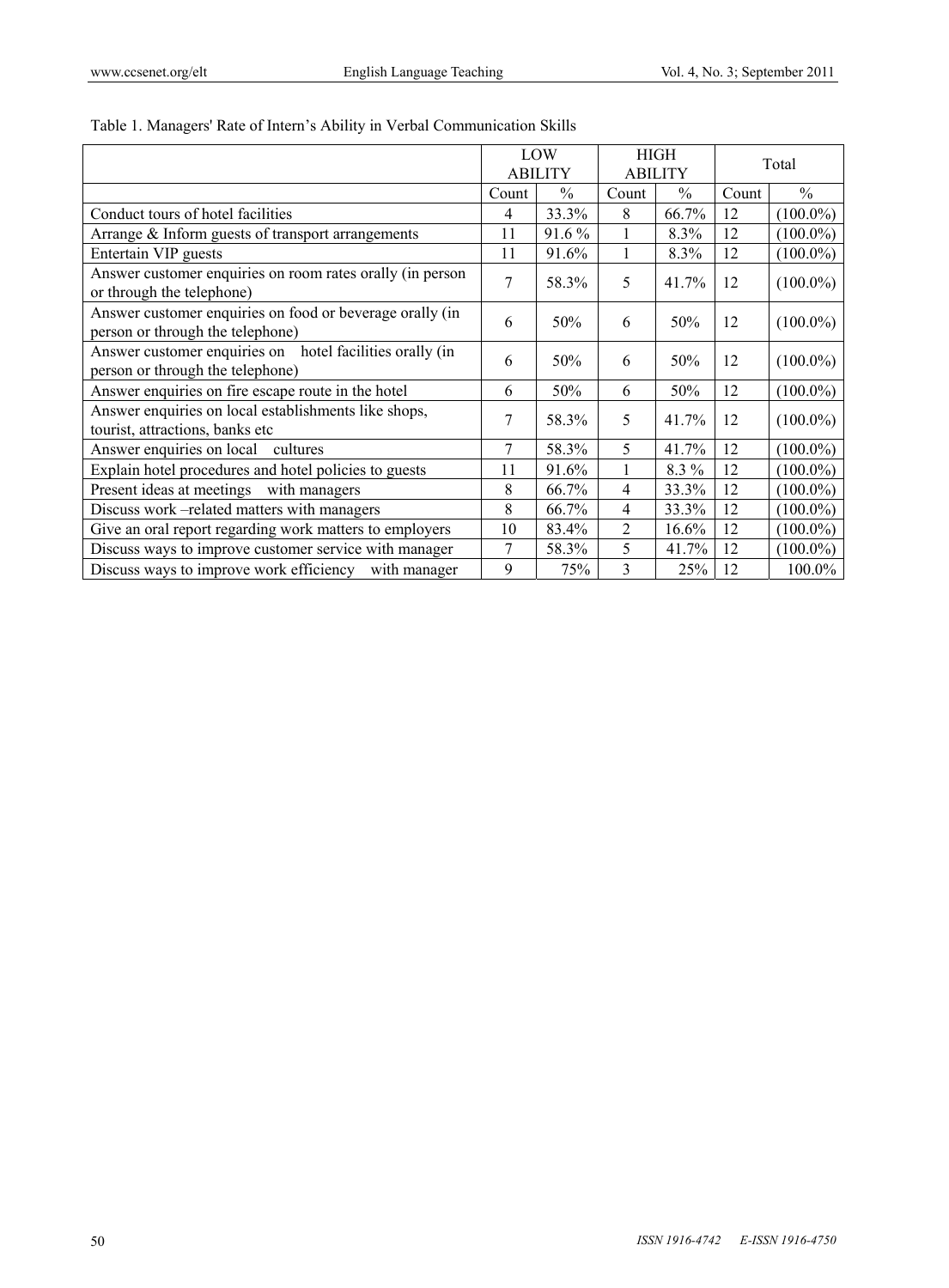|                                                                                              | LOW<br><b>ABILITY</b> |               | <b>HIGH</b><br><b>ABILITY</b> |               | Total |               |
|----------------------------------------------------------------------------------------------|-----------------------|---------------|-------------------------------|---------------|-------|---------------|
|                                                                                              | Count                 | $\frac{0}{0}$ | Count                         | $\frac{0}{0}$ | Count | $\frac{0}{0}$ |
| Conduct tours of hotel facilities                                                            | $\overline{4}$        | 33.3%         | 8                             | 66.7%         | 12    | $(100.0\%)$   |
| Arrange & Inform guests of transport arrangements                                            | 11                    | 91.6%         |                               | 8.3%          | 12    | $(100.0\%)$   |
| Entertain VIP guests                                                                         | 11                    | 91.6%         | 1                             | 8.3%          | 12    | $(100.0\%)$   |
| Answer customer enquiries on room rates orally (in person<br>or through the telephone)       | 7                     | 58.3%         | 5                             | 41.7%         | 12    | $(100.0\%)$   |
| Answer customer enquiries on food or beverage orally (in<br>person or through the telephone) | 6                     | 50%           | 6                             | 50%           | 12    | $(100.0\%)$   |
| Answer customer enquiries on hotel facilities orally (in<br>person or through the telephone) | 6                     | 50%           | 6                             | 50%           | 12    | $(100.0\%)$   |
| Answer enquiries on fire escape route in the hotel                                           | 6                     | 50%           | 6                             | 50%           | 12    | $(100.0\%)$   |
| Answer enquiries on local establishments like shops,<br>tourist, attractions, banks etc      | 7                     | 58.3%         | 5                             | 41.7%         | 12    | $(100.0\%)$   |
| Answer enquiries on local<br>cultures                                                        | 7                     | 58.3%         | 5                             | 41.7%         | 12    | $(100.0\%)$   |
| Explain hotel procedures and hotel policies to guests                                        | 11                    | 91.6%         | 1                             | 8.3%          | 12    | $(100.0\%)$   |
| Present ideas at meetings with managers                                                      | 8                     | 66.7%         | 4                             | 33.3%         | 12    | $(100.0\%)$   |
| Discuss work - related matters with managers                                                 | 8                     | 66.7%         | 4                             | 33.3%         | 12    | $(100.0\%)$   |
| Give an oral report regarding work matters to employers                                      | 10                    | 83.4%         | $\overline{2}$                | 16.6%         | 12    | $(100.0\%)$   |
| Discuss ways to improve customer service with manager                                        | 7                     | 58.3%         | 5                             | 41.7%         | 12    | $(100.0\%)$   |
| Discuss ways to improve work efficiency with manager                                         | 9                     | 75%           | 3                             | 25%           | 12    | 100.0%        |

# Table 1. Managers' Rate of Intern's Ability in Verbal Communication Skills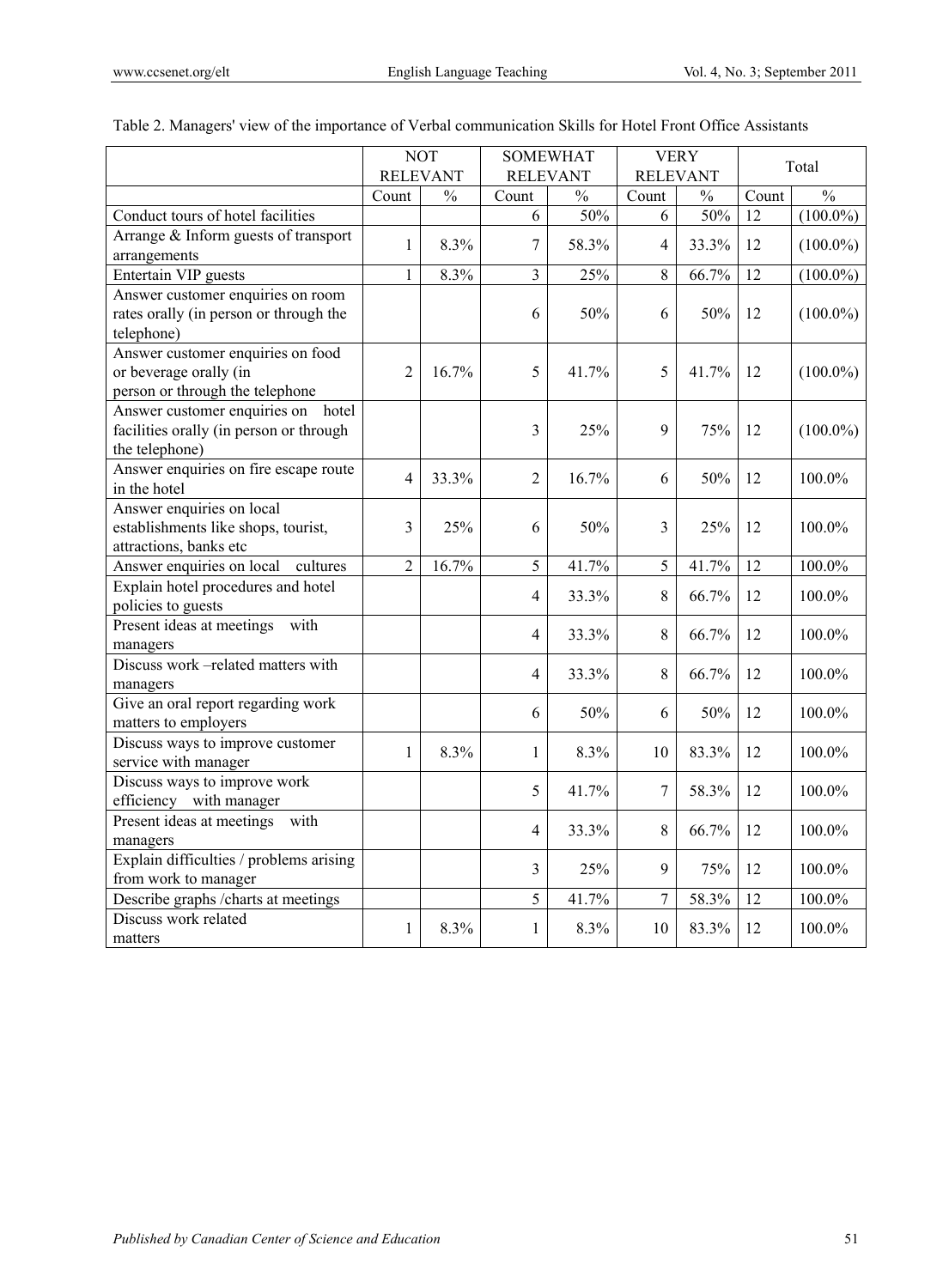|                                                         | <b>NOT</b>     |                 | <b>SOMEWHAT</b> |               | <b>VERY</b>     |               | Total |               |
|---------------------------------------------------------|----------------|-----------------|-----------------|---------------|-----------------|---------------|-------|---------------|
|                                                         |                | <b>RELEVANT</b> | <b>RELEVANT</b> |               | <b>RELEVANT</b> |               |       |               |
|                                                         | Count          | $\frac{0}{0}$   | Count           | $\frac{0}{0}$ | Count           | $\frac{0}{0}$ | Count | $\frac{0}{0}$ |
| Conduct tours of hotel facilities                       |                |                 | 6               | 50%           | 6               | 50%           | 12    | $(100.0\%)$   |
| Arrange & Inform guests of transport                    | 1              | 8.3%            | $\overline{7}$  | 58.3%         | 4               | 33.3%         | 12    | $(100.0\%)$   |
| arrangements                                            |                |                 |                 |               |                 |               |       |               |
| Entertain VIP guests                                    | 1              | 8.3%            | $\overline{3}$  | 25%           | $8\,$           | 66.7%         | 12    | $(100.0\%)$   |
| Answer customer enquiries on room                       |                |                 |                 |               |                 |               |       |               |
| rates orally (in person or through the                  |                |                 | 6               | 50%           | 6               | 50%           | 12    | $(100.0\%)$   |
| telephone)                                              |                |                 |                 |               |                 |               |       |               |
| Answer customer enquiries on food                       |                |                 |                 |               |                 |               |       |               |
| or beverage orally (in                                  | $\overline{2}$ | 16.7%           | 5               | 41.7%         | 5               | 41.7%         | 12    | $(100.0\%)$   |
| person or through the telephone                         |                |                 |                 |               |                 |               |       |               |
| Answer customer enquiries on hotel                      |                |                 |                 |               |                 |               |       |               |
| facilities orally (in person or through                 |                |                 | 3               | 25%           | 9               | 75%           | 12    | $(100.0\%)$   |
| the telephone)<br>Answer enquiries on fire escape route |                |                 |                 |               |                 |               |       |               |
| in the hotel                                            | $\overline{4}$ | 33.3%           | 2               | 16.7%         | 6               | 50%           | 12    | 100.0%        |
| Answer enquiries on local                               |                |                 |                 |               |                 |               |       |               |
| establishments like shops, tourist,                     | 3              | 25%             | 6               | 50%           | 3               | 25%           | 12    | 100.0%        |
| attractions, banks etc                                  |                |                 |                 |               |                 |               |       |               |
| Answer enquiries on local<br>cultures                   | $\overline{2}$ | 16.7%           | 5               | 41.7%         | 5               | 41.7%         | 12    | 100.0%        |
| Explain hotel procedures and hotel                      |                |                 |                 |               |                 |               |       |               |
| policies to guests                                      |                |                 | $\overline{4}$  | 33.3%         | $8\,$           | 66.7%         | 12    | 100.0%        |
| with<br>Present ideas at meetings                       |                |                 |                 |               |                 |               |       |               |
| managers                                                |                |                 | 4               | 33.3%         | 8               | 66.7%         | 12    | 100.0%        |
| Discuss work -related matters with                      |                |                 |                 |               |                 |               |       |               |
| managers                                                |                |                 | $\overline{4}$  | 33.3%         | 8               | 66.7%         | 12    | 100.0%        |
| Give an oral report regarding work                      |                |                 | 6               | 50%           | 6               | 50%           | 12    | 100.0%        |
| matters to employers                                    |                |                 |                 |               |                 |               |       |               |
| Discuss ways to improve customer                        | $\mathbf{1}$   | 8.3%            | $\mathbf{1}$    | 8.3%          | 10              | 83.3%         | 12    | 100.0%        |
| service with manager                                    |                |                 |                 |               |                 |               |       |               |
| Discuss ways to improve work                            |                |                 | 5               | 41.7%         | $\overline{7}$  | 58.3%         | 12    | 100.0%        |
| efficiency with manager                                 |                |                 |                 |               |                 |               |       |               |
| Present ideas at meetings with                          |                |                 | $\overline{4}$  | 33.3%         | 8               | 66.7%         | 12    | 100.0%        |
| managers                                                |                |                 |                 |               |                 |               |       |               |
| Explain difficulties / problems arising                 |                |                 | 3               | 25%           | 9               | 75%           | 12    | 100.0%        |
| from work to manager                                    |                |                 |                 |               |                 |               |       |               |
| Describe graphs /charts at meetings                     |                |                 | 5               | 41.7%         | $\overline{7}$  | 58.3%         | 12    | 100.0%        |
| Discuss work related                                    | $\mathbf{1}$   | 8.3%            | $\mathbf{1}$    | 8.3%          | 10              | 83.3%         | 12    | 100.0%        |
| matters                                                 |                |                 |                 |               |                 |               |       |               |

# Table 2. Managers' view of the importance of Verbal communication Skills for Hotel Front Office Assistants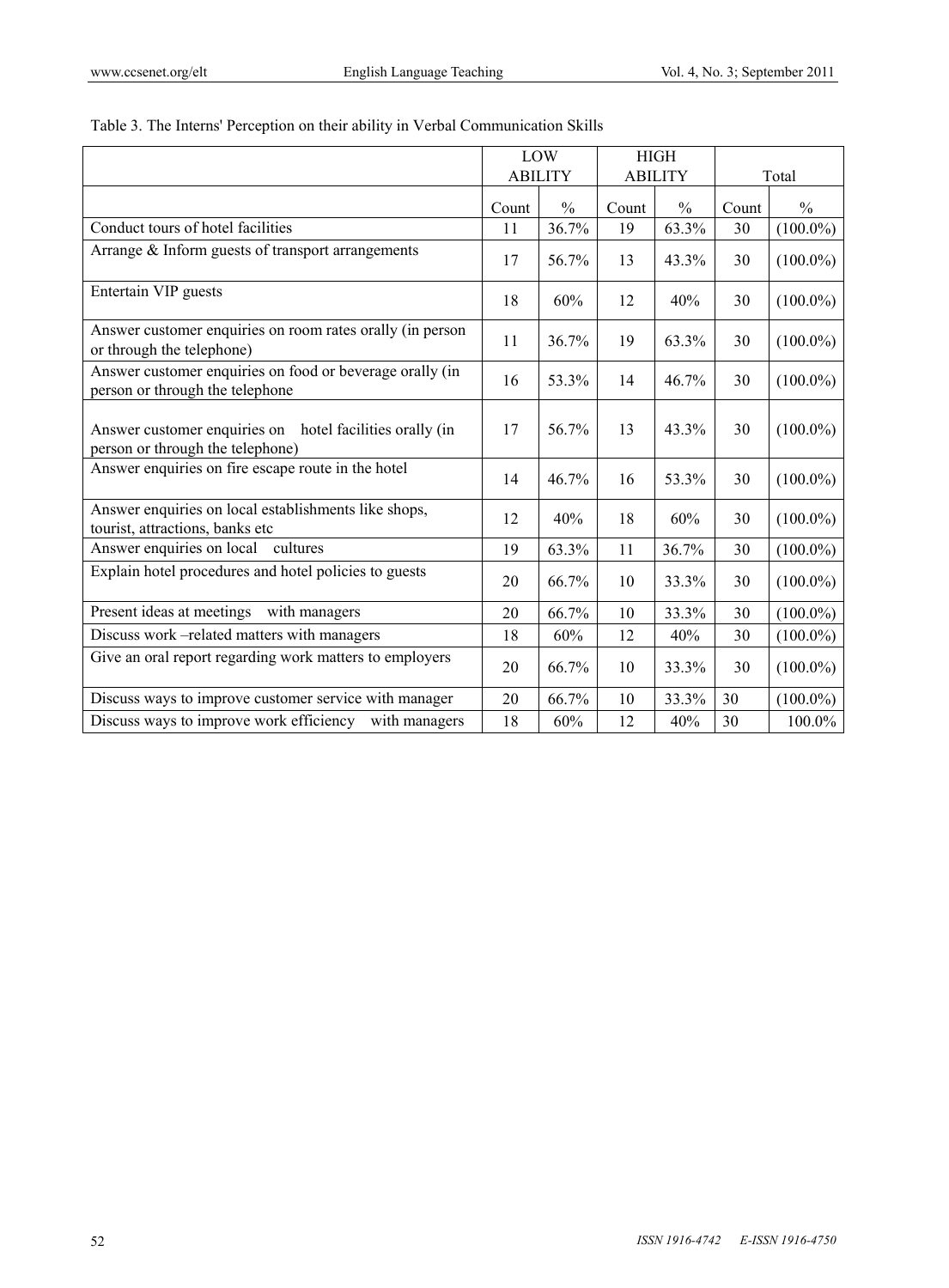|                                                                                              | LOW<br><b>ABILITY</b> |               | <b>HIGH</b><br><b>ABILITY</b> |               | Total |               |
|----------------------------------------------------------------------------------------------|-----------------------|---------------|-------------------------------|---------------|-------|---------------|
|                                                                                              | Count                 | $\frac{0}{0}$ | Count                         | $\frac{0}{0}$ | Count | $\frac{0}{0}$ |
| Conduct tours of hotel facilities                                                            | 11                    | 36.7%         | 19                            | 63.3%         | 30    | $(100.0\%)$   |
| Arrange & Inform guests of transport arrangements                                            | 17                    | 56.7%         | 13                            | 43.3%         | 30    | $(100.0\%)$   |
| Entertain VIP guests                                                                         | 18                    | 60%           | 12                            | 40%           | 30    | $(100.0\%)$   |
| Answer customer enquiries on room rates orally (in person<br>or through the telephone)       | 11                    | 36.7%         | 19                            | 63.3%         | 30    | $(100.0\%)$   |
| Answer customer enquiries on food or beverage orally (in<br>person or through the telephone  | 16                    | 53.3%         | 14                            | 46.7%         | 30    | $(100.0\%)$   |
| Answer customer enquiries on hotel facilities orally (in<br>person or through the telephone) | 17                    | 56.7%         | 13                            | 43.3%         | 30    | $(100.0\%)$   |
| Answer enquiries on fire escape route in the hotel                                           | 14                    | 46.7%         | 16                            | 53.3%         | 30    | $(100.0\%)$   |
| Answer enquiries on local establishments like shops,<br>tourist, attractions, banks etc      | 12                    | 40%           | 18                            | 60%           | 30    | $(100.0\%)$   |
| Answer enquiries on local<br>cultures                                                        | 19                    | 63.3%         | 11                            | 36.7%         | 30    | $(100.0\%)$   |
| Explain hotel procedures and hotel policies to guests                                        | 20                    | 66.7%         | 10                            | 33.3%         | 30    | $(100.0\%)$   |
| Present ideas at meetings with managers                                                      | 20                    | 66.7%         | 10                            | 33.3%         | 30    | $(100.0\%)$   |
| Discuss work - related matters with managers                                                 | 18                    | 60%           | 12                            | 40%           | 30    | $(100.0\%)$   |
| Give an oral report regarding work matters to employers                                      | 20                    | 66.7%         | 10                            | 33.3%         | 30    | $(100.0\%)$   |
| Discuss ways to improve customer service with manager                                        | 20                    | 66.7%         | 10                            | 33.3%         | 30    | $(100.0\%)$   |
| Discuss ways to improve work efficiency with managers                                        | 18                    | 60%           | 12                            | 40%           | 30    | 100.0%        |

# Table 3. The Interns' Perception on their ability in Verbal Communication Skills